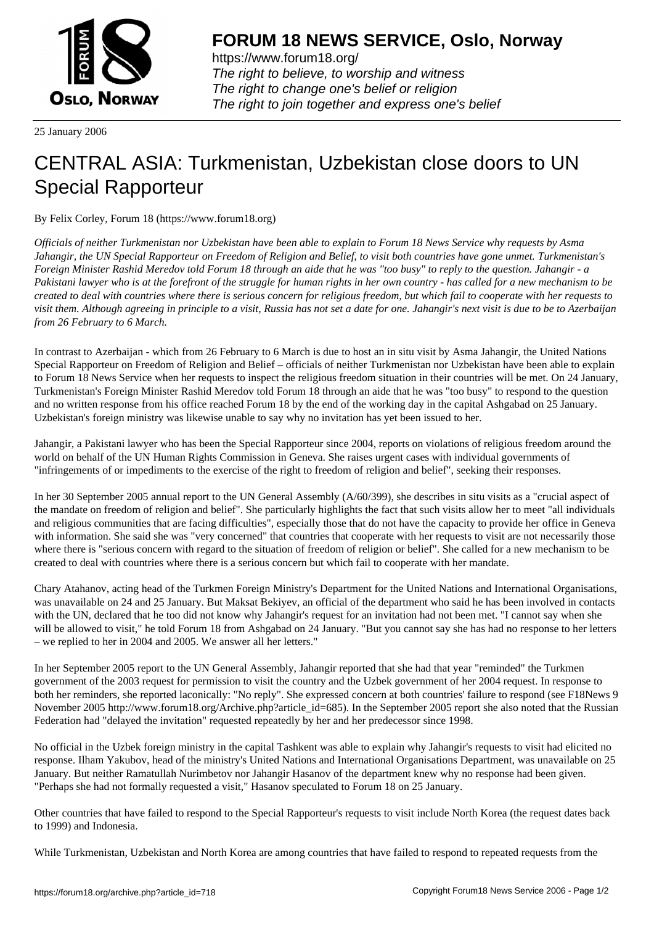

https://www.forum18.org/ The right to believe, to worship and witness The right to change one's belief or religion [The right to join together a](https://www.forum18.org/)nd express one's belief

25 January 2006

## [CENTRAL ASIA](https://www.forum18.org): Turkmenistan, Uzbekistan close doors to UN Special Rapporteur

By Felix Corley, Forum 18 (https://www.forum18.org)

*Officials of neither Turkmenistan nor Uzbekistan have been able to explain to Forum 18 News Service why requests by Asma Jahangir, the UN Special Rapporteur on Freedom of Religion and Belief, to visit both countries have gone unmet. Turkmenistan's Foreign Minister Rashid Meredov told Forum 18 through an aide that he was "too busy" to reply to the question. Jahangir - a Pakistani lawyer who is at the forefront of the struggle for human rights in her own country - has called for a new mechanism to be created to deal with countries where there is serious concern for religious freedom, but which fail to cooperate with her requests to visit them. Although agreeing in principle to a visit, Russia has not set a date for one. Jahangir's next visit is due to be to Azerbaijan from 26 February to 6 March.*

In contrast to Azerbaijan - which from 26 February to 6 March is due to host an in situ visit by Asma Jahangir, the United Nations Special Rapporteur on Freedom of Religion and Belief – officials of neither Turkmenistan nor Uzbekistan have been able to explain to Forum 18 News Service when her requests to inspect the religious freedom situation in their countries will be met. On 24 January, Turkmenistan's Foreign Minister Rashid Meredov told Forum 18 through an aide that he was "too busy" to respond to the question and no written response from his office reached Forum 18 by the end of the working day in the capital Ashgabad on 25 January. Uzbekistan's foreign ministry was likewise unable to say why no invitation has yet been issued to her.

Jahangir, a Pakistani lawyer who has been the Special Rapporteur since 2004, reports on violations of religious freedom around the world on behalf of the UN Human Rights Commission in Geneva. She raises urgent cases with individual governments of "infringements of or impediments to the exercise of the right to freedom of religion and belief", seeking their responses.

In her 30 September 2005 annual report to the UN General Assembly (A/60/399), she describes in situ visits as a "crucial aspect of the mandate on freedom of religion and belief". She particularly highlights the fact that such visits allow her to meet "all individuals and religious communities that are facing difficulties", especially those that do not have the capacity to provide her office in Geneva with information. She said she was "very concerned" that countries that cooperate with her requests to visit are not necessarily those where there is "serious concern with regard to the situation of freedom of religion or belief". She called for a new mechanism to be created to deal with countries where there is a serious concern but which fail to cooperate with her mandate.

Chary Atahanov, acting head of the Turkmen Foreign Ministry's Department for the United Nations and International Organisations, was unavailable on 24 and 25 January. But Maksat Bekiyev, an official of the department who said he has been involved in contacts with the UN, declared that he too did not know why Jahangir's request for an invitation had not been met. "I cannot say when she will be allowed to visit," he told Forum 18 from Ashgabad on 24 January. "But you cannot say she has had no response to her letters – we replied to her in 2004 and 2005. We answer all her letters."

In her September 2005 report to the UN General Assembly, Jahangir reported that she had that year "reminded" the Turkmen government of the 2003 request for permission to visit the country and the Uzbek government of her 2004 request. In response to both her reminders, she reported laconically: "No reply". She expressed concern at both countries' failure to respond (see F18News 9 November 2005 http://www.forum18.org/Archive.php?article\_id=685). In the September 2005 report she also noted that the Russian Federation had "delayed the invitation" requested repeatedly by her and her predecessor since 1998.

No official in the Uzbek foreign ministry in the capital Tashkent was able to explain why Jahangir's requests to visit had elicited no response. Ilham Yakubov, head of the ministry's United Nations and International Organisations Department, was unavailable on 25 January. But neither Ramatullah Nurimbetov nor Jahangir Hasanov of the department knew why no response had been given. "Perhaps she had not formally requested a visit," Hasanov speculated to Forum 18 on 25 January.

Other countries that have failed to respond to the Special Rapporteur's requests to visit include North Korea (the request dates back to 1999) and Indonesia.

While Turkmenistan, Uzbekistan and North Korea are among countries that have failed to respond to repeated requests from the